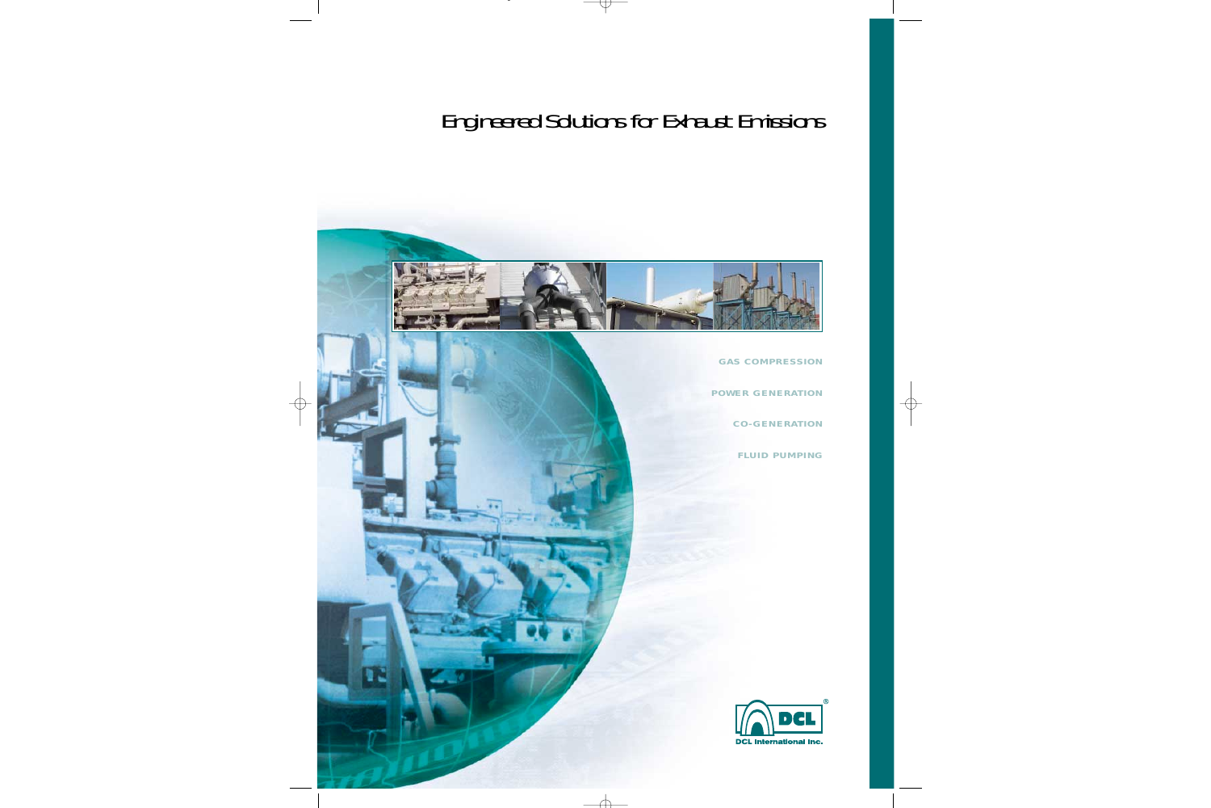# Engineered Solutions for Exhaust Emissions



*GAS COMPRESSION POWER GENERATION CO-GENERATION FLUID PUMPING*

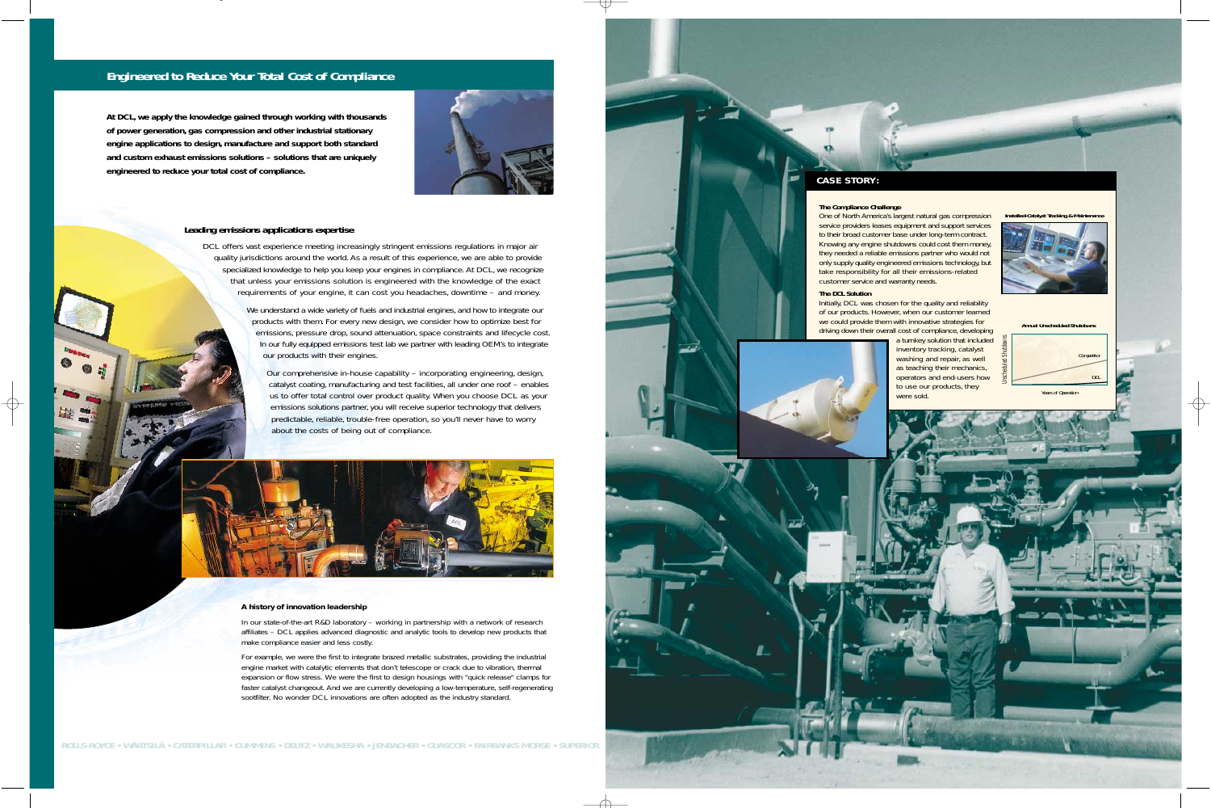### **CASE STORY:**

**The Compliance Challenge**

One of North America's largest natural gas compression service providers leases equipment and support services to their broad customer base under long-term contract. Knowing any engine shutdowns could cost them money, they needed a reliable emissions partner who would not only supply quality engineered emissions technology, but take responsibility for all their emissions-related customer service and warranty needs.

**The DCL Solution**



Initially, DCL was chosen for the quality and reliability of our products. However, when our customer learned we could provide them with innovative strategies for driving down their overall cost of compliance, developing



a turnkey solution that included inventory tracking, catalyst washing and repair, as well as teaching their mechanics, operators and end-users how to use our products, they were sold.

### **Engineered to Reduce Your Total Cost of Compliance**

**At DCL, we apply the knowledge gained through working with thousands of power generation, gas compression and other industrial stationary engine applications to design, manufacture and support both standard and custom exhaust emissions solutions – solutions that are uniquely engineered to reduce your total cost of compliance.**



DCL offers vast experience meeting increasingly stringent emissions regulations in major air quality jurisdictions around the world. As a result of this experience, we are able to provide specialized knowledge to help you keep your engines in compliance. At DCL, we recognize that unless your emissions solution is engineered with the knowledge of the exact requirements of your engine, it can cost you headaches, downtime – and money.

> We understand a wide variety of fuels and industrial engines, and how to integrate our products with them. For every new design, we consider how to optimize best for emissions, pressure drop, sound attenuation, space constraints and lifecycle cost. In our fully equipped emissions test lab we partner with leading OEM's to integrate our products with their engines.

Our comprehensive in-house capability – incorporating engineering, design, catalyst coating, manufacturing and test facilities, all under one roof – enables us to offer total control over product quality. When you choose DCL as your emissions solutions partner, you will receive superior technology that delivers predictable, reliable, trouble-free operation, so you'll never have to worry about the costs of being out of compliance.



### **Leading emissions applications expertise**

**ROLLS-ROYCE • WÄRTSILÄ • CATERPILLAR • CUMMINS • DEUTZ • WAUKESHA • JENBACHER • GUASCOR • FAIRBANKS MORSE • SUPERIOR**

### *A history of innovation leadership*

*In our state-of-the-art R&D laboratory – working in partnership with a network of research affiliates – DCL applies advanced diagnostic and analytic tools to develop new products that make compliance easier and less costly.*

*For example, we were the first to integrate brazed metallic substrates, providing the industrial engine market with catalytic elements that don't telescope or crack due to vibration, thermal expansion or flow stress. We were the first to design housings with "quick release" clamps for faster catalyst changeout. And we are currently developing a low-temperature, self-regenerating sootfilter. No wonder DCL innovations are often adopted as the industry standard.*

Years of Operation

### **Annual Unscheduled Shutdowns**

**Installed-Catalyst Tracking & Maintenance**



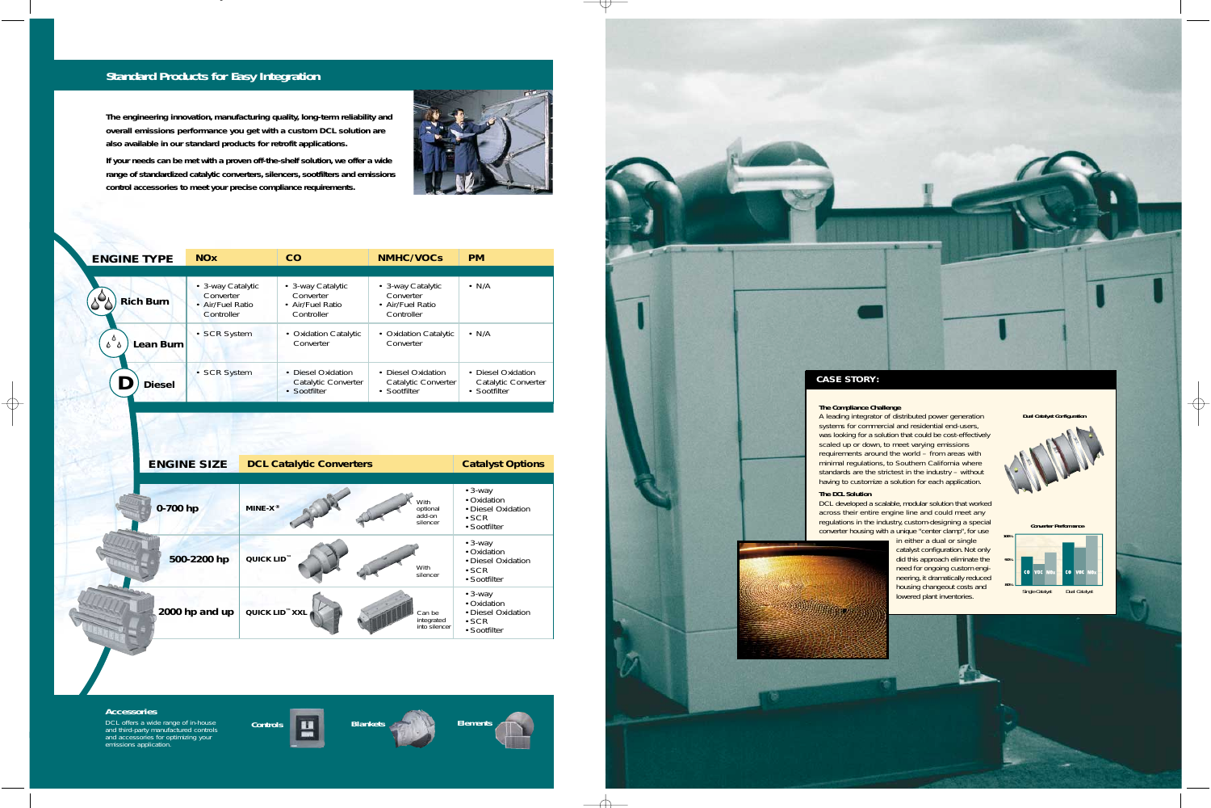## **Standard Products for Easy Integration**

**The engineering innovation, manufacturing quality, long-term reliability and overall emissions performance you get with a custom DCL solution are also available in our standard products for retrofit applications.** 



**If your needs can be met with a proven off-the-shelf solution, we offer a wide range of standardized catalytic converters, silencers, sootfilters and emissions control accessories to meet your precise compliance requirements.**



### **The Compliance Challenge**

| <b>ENGINE TYPE</b> | <b>NOx</b>                                         | CO                                                      | <b>NMHC/VOCs</b>                                          | <b>PM</b>                                                 |
|--------------------|----------------------------------------------------|---------------------------------------------------------|-----------------------------------------------------------|-----------------------------------------------------------|
| <b>Rich Burn</b>   | • 3-way Catalytic<br>Converter<br>• Air/Fuel Ratio | • 3-way Catalytic<br>Converter<br>• Air/Fuel Ratio      | • 3-way Catalytic<br>Converter<br>• Air/Fuel Ratio        | $\cdot$ N/A                                               |
| Lean Burn          | Controller<br>• SCR System                         | Controller<br><b>Oxidation Catalytic</b><br>Converter   | Controller<br><b>Oxidation Catalytic</b><br>Converter     | $\cdot$ N/A                                               |
| Diesel             | • SCR System                                       | Diesel Oxidation<br>Catalytic Converter<br>• Sootfilter | • Diesel Oxidation<br>Catalytic Converter<br>• Sootfilter | • Diesel Oxidation<br>Catalytic Converter<br>• Sootfilter |

| <b>ENGINE SIZE</b> | <b>DCL Catalytic Converters</b>                                     | <b>Catalyst Options</b>                                                           |
|--------------------|---------------------------------------------------------------------|-----------------------------------------------------------------------------------|
| 0-700 hp           | With<br>$MINE-X^{\circledast}$<br>optional<br>add-on<br>silencer    | $\cdot$ 3-way<br>• Oxidation<br>• Diesel Oxidation<br>$\cdot$ SCR<br>• Sootfilter |
| 500-2200 hp        | QUICK LID <sup>™</sup><br>With<br>silencer                          | $\cdot$ 3-way<br>• Oxidation<br>• Diesel Oxidation<br>$\cdot$ SCR<br>• Sootfilter |
| 2000 hp and up     | QUICK LID <sup>™</sup> XXL<br>Can be<br>integrated<br>into silencer | $\cdot$ 3-way<br>• Oxidation<br>• Diesel Oxidation<br>$\cdot$ SCR<br>• Sootfilter |

A leading integrator of distributed power generation systems for commercial and residential end-users, was looking for a solution that could be cost-effectively scaled up or down, to meet varying emissions requirements around the world – from areas with minimal regulations, to Southern California where standards are the strictest in the industry – without having to customize a solution for each application.

## **The DCL Solution**

DCL developed a scalable, modular solution that worked across their entire engine line and could meet any regulations in the industry, custom-designing a special converter housing with a unique "center clamp", for use



in either a dual or single catalyst configuration. Not only did this approach eliminate the need for ongoing custom engineering, it dramatically reduced housing changeout costs and lowered plant inventories.

**Accessories**

*DCL offers a wide range of in-house and third-party manufactured controls and accessories for optimizing your emissions application.* 





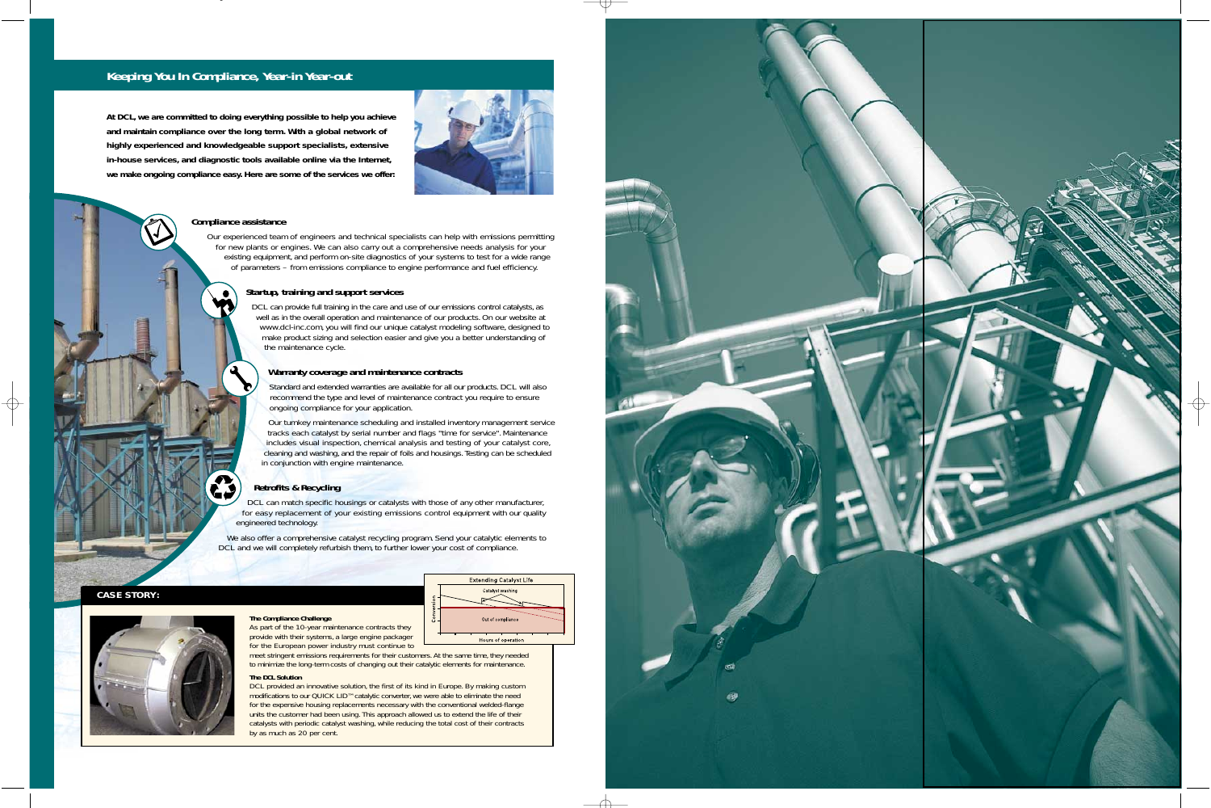## **Keeping You In Compliance, Year-in Year-out**

### **Compliance assistance**

Our experienced team of engineers and technical specialists can help with emissions permitting for new plants or engines. We can also carry out a comprehensive needs analysis for your existing equipment, and perform on-site diagnostics of your systems to test for a wide range of parameters – from emissions compliance to engine performance and fuel efficiency.

> DCL can provide full training in the care and use of our emissions control catalysts, as well as in the overall operation and maintenance of our products. On our website at *www.dcl-inc.com*, you will find our unique catalyst modeling software, designed to make product sizing and selection easier and give you a better understanding of the maintenance cycle.

### **Startup, training and support services**

DCL can match specific housings or catalysts with those of any other manufacturer, for easy replacement of your existing emissions control equipment with our quality engineered technology.

We also offer a comprehensive catalyst recycling program. Send your catalytic elements to DCL and we will completely refurbish them, to further lower your cost of compliance.

### **Warranty coverage and maintenance contracts**

Standard and extended warranties are available for all our products. DCL will also recommend the type and level of maintenance contract you require to ensure ongoing compliance for your application.

Our turnkey maintenance scheduling and installed inventory management service tracks each catalyst by serial number and flags "time for service". Maintenance includes visual inspection, chemical analysis and testing of your catalyst core, cleaning and washing, and the repair of foils and housings. Testing can be scheduled in conjunction with engine maintenance.

DCL provided an innovative solution, the first of its kind in Europe. By making custom modifications to our QUICK LID™ catalytic converter, we were able to eliminate the need for the expensive housing replacements necessary with the conventional welded-flange units the customer had been using. This approach allowed us to extend the life of their catalysts with periodic catalyst washing, while reducing the total cost of their contracts by as much as 20 per cent.



### **Retrofits & Recycling**

### **The Compliance Challenge**



meet stringent emissions requirements for their customers. At the same time, they needed to minimize the long-term costs of changing out their catalytic elements for maintenance.

### **The DCL Solution**

**CASE STORY:**



**At DCL, we are committed to doing everything possible to help you achieve and maintain compliance over the long term. With a global network of highly experienced and knowledgeable support specialists, extensive in-house services, and diagnostic tools available online via the Internet, we make ongoing compliance easy. Here are some of the services we offer:**



**Extending Catalyst Life** Catalyst washing

Out of compliance

Hours of operation